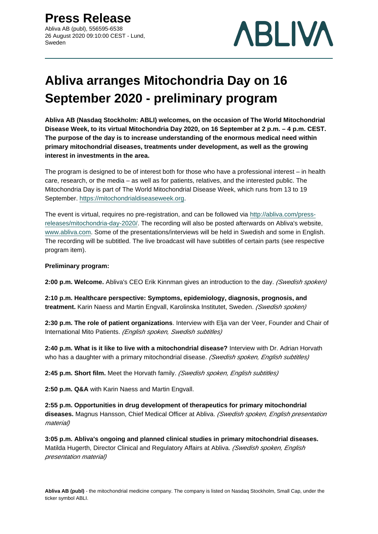

# **Abliva arranges Mitochondria Day on 16 September 2020 - preliminary program**

**Abliva AB (Nasdaq Stockholm: ABLI) welcomes, on the occasion of The World Mitochondrial Disease Week, to its virtual Mitochondria Day 2020, on 16 September at 2 p.m. – 4 p.m. CEST. The purpose of the day is to increase understanding of the enormous medical need within primary mitochondrial diseases, treatments under development, as well as the growing interest in investments in the area.**

The program is designed to be of interest both for those who have a professional interest – in health care, research, or the media – as well as for patients, relatives, and the interested public. The Mitochondria Day is part of The World Mitochondrial Disease Week, which runs from 13 to 19 September.<https://mitochondrialdiseaseweek.org>.

The event is virtual, requires no pre-registration, and can be followed via [http://abliva.com/press](http://abliva.com/press-releases/mitochondria-day-2020/)[releases/mitochondria-day-2020/.](http://abliva.com/press-releases/mitochondria-day-2020/) The recording will also be posted afterwards on Abliva's website, [www.abliva.com](http://www.abliva.com/). Some of the presentations/interviews will be held in Swedish and some in English. The recording will be subtitled. The live broadcast will have subtitles of certain parts (see respective program item).

## **Preliminary program:**

2:00 p.m. Welcome. Abliva's CEO Erik Kinnman gives an introduction to the day. (Swedish spoken)

**2:10 p.m. Healthcare perspective: Symptoms, epidemiology, diagnosis, prognosis, and**  treatment. Karin Naess and Martin Engvall, Karolinska Institutet, Sweden. (Swedish spoken)

**2:30 p.m. The role of patient organizations**. Interview with Elja van der Veer, Founder and Chair of International Mito Patients. (English spoken, Swedish subtitles)

**2:40 p.m. What is it like to live with a mitochondrial disease?** Interview with Dr. Adrian Horvath who has a daughter with a primary mitochondrial disease. (Swedish spoken, English subtitles)

**2:45 p.m. Short film.** Meet the Horvath family. (Swedish spoken, English subtitles)

**2:50 p.m. Q&A** with Karin Naess and Martin Engvall.

**2:55 p.m. Opportunities in drug development of therapeutics for primary mitochondrial diseases.** Magnus Hansson, Chief Medical Officer at Abliva. (Swedish spoken, English presentation material)

**3:05 p.m. Abliva's ongoing and planned clinical studies in primary mitochondrial diseases.**  Matilda Hugerth, Director Clinical and Regulatory Affairs at Abliva. (Swedish spoken, English presentation material)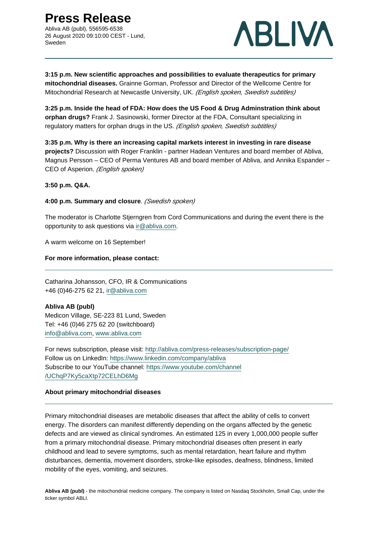**Press Release**

Abliva AB (publ), 556595-6538 26 August 2020 09:10:00 CEST - Lund, Sweden



**3:15 p.m. New scientific approaches and possibilities to evaluate therapeutics for primary mitochondrial diseases.** Grainne Gorman, Professor and Director of the Wellcome Centre for Mitochondrial Research at Newcastle University, UK. (English spoken, Swedish subtitles)

**3:25 p.m. Inside the head of FDA: How does the US Food & Drug Adminstration think about orphan drugs?** Frank J. Sasinowski, former Director at the FDA, Consultant specializing in regulatory matters for orphan drugs in the US. (English spoken, Swedish subtitles)

**3:35 p.m. Why is there an increasing capital markets interest in investing in rare disease projects?** Discussion with Roger Franklin - partner Hadean Ventures and board member of Abliva, Magnus Persson – CEO of Perma Ventures AB and board member of Abliva, and Annika Espander – CEO of Asperion. (English spoken)

**3:50 p.m. Q&A.**

**4:00 p.m. Summary and closure**. (Swedish spoken)

The moderator is Charlotte Stjerngren from Cord Communications and during the event there is the opportunity to ask questions via ir@abliva.com.

A warm welcome on 16 September!

#### **For more information, please contact:**

Catharina Johansson, CFO, IR & Communications +46 (0)46-275 62 21, ir@abliva.com

## **Abliva AB (publ)**

Medicon Village, SE-223 81 Lund, Sweden Tel: +46 (0)46 275 62 20 (switchboard) info@abliva.com, [www.abliva.com](http://www.abliva.com)

For news subscription, please visit: <http://abliva.com/press-releases/subscription-page/> Follow us on LinkedIn:<https://www.linkedin.com/company/abliva> Subscribe to our YouTube channel: [https://www.youtube.com/channel](https://www.youtube.com/channel/UChqP7Ky5caXtp72CELhD6Mg) [/UChqP7Ky5caXtp72CELhD6Mg](https://www.youtube.com/channel/UChqP7Ky5caXtp72CELhD6Mg)

## **About primary mitochondrial diseases**

Primary mitochondrial diseases are metabolic diseases that affect the ability of cells to convert energy. The disorders can manifest differently depending on the organs affected by the genetic defects and are viewed as clinical syndromes. An estimated 125 in every 1,000,000 people suffer from a primary mitochondrial disease. Primary mitochondrial diseases often present in early childhood and lead to severe symptoms, such as mental retardation, heart failure and rhythm disturbances, dementia, movement disorders, stroke-like episodes, deafness, blindness, limited mobility of the eyes, vomiting, and seizures.

**Abliva AB (publ)** - the mitochondrial medicine company. The company is listed on Nasdaq Stockholm, Small Cap, under the ticker symbol ABLI.